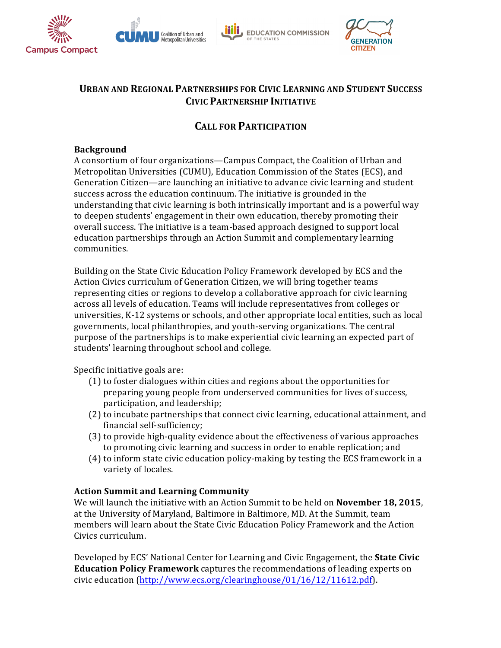







# **URBAN AND REGIONAL PARTNERSHIPS FOR CIVIC LEARNING AND STUDENT SUCCESS CIVIC PARTNERSHIP INITIATIVE**

# **CALL FOR PARTICIPATION**

#### **Background**

A consortium of four organizations—Campus Compact, the Coalition of Urban and Metropolitan Universities (CUMU), Education Commission of the States (ECS), and Generation Citizen—are launching an initiative to advance civic learning and student success across the education continuum. The initiative is grounded in the understanding that civic learning is both intrinsically important and is a powerful way to deepen students' engagement in their own education, thereby promoting their overall success. The initiative is a team-based approach designed to support local education partnerships through an Action Summit and complementary learning communities.

Building on the State Civic Education Policy Framework developed by ECS and the Action Civics curriculum of Generation Citizen, we will bring together teams representing cities or regions to develop a collaborative approach for civic learning across all levels of education. Teams will include representatives from colleges or universities, K-12 systems or schools, and other appropriate local entities, such as local governments, local philanthropies, and youth-serving organizations. The central purpose of the partnerships is to make experiential civic learning an expected part of students' learning throughout school and college.

Specific initiative goals are:

- (1) to foster dialogues within cities and regions about the opportunities for preparing young people from underserved communities for lives of success, participation, and leadership;
- (2) to incubate partnerships that connect civic learning, educational attainment, and financial self-sufficiency;
- (3) to provide high-quality evidence about the effectiveness of various approaches to promoting civic learning and success in order to enable replication; and
- (4) to inform state civic education policy-making by testing the ECS framework in a variety of locales.

### **Action Summit and Learning Community**

We will launch the initiative with an Action Summit to be held on **November 18, 2015**, at the University of Maryland, Baltimore in Baltimore, MD. At the Summit, team members will learn about the State Civic Education Policy Framework and the Action Civics curriculum. 

Developed by ECS' National Center for Learning and Civic Engagement, the **State Civic Education Policy Framework** captures the recommendations of leading experts on civic education (http://www.ecs.org/clearinghouse/01/16/12/11612.pdf).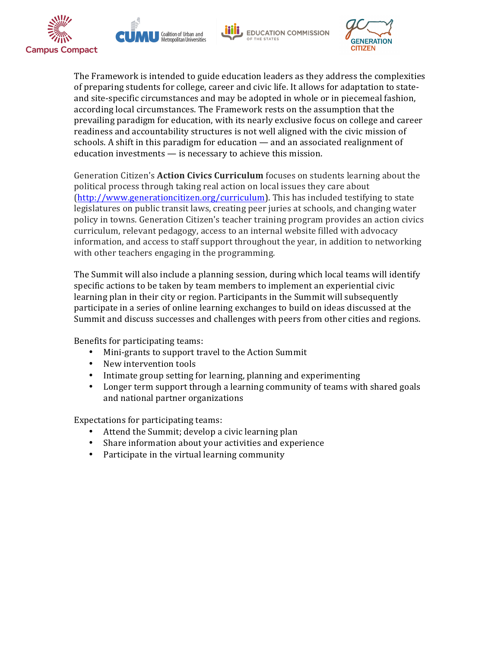







The Framework is intended to guide education leaders as they address the complexities of preparing students for college, career and civic life. It allows for adaptation to stateand site-specific circumstances and may be adopted in whole or in piecemeal fashion, according local circumstances. The Framework rests on the assumption that the prevailing paradigm for education, with its nearly exclusive focus on college and career readiness and accountability structures is not well aligned with the civic mission of schools. A shift in this paradigm for education  $-$  and an associated realignment of education investments  $-$  is necessary to achieve this mission.

Generation Citizen's **Action Civics Curriculum** focuses on students learning about the political process through taking real action on local issues they care about (http://www.generationcitizen.org/curriculum). This has included testifying to state legislatures on public transit laws, creating peer juries at schools, and changing water policy in towns. Generation Citizen's teacher training program provides an action civics curriculum, relevant pedagogy, access to an internal website filled with advocacy information, and access to staff support throughout the year, in addition to networking with other teachers engaging in the programming.

The Summit will also include a planning session, during which local teams will identify specific actions to be taken by team members to implement an experiential civic learning plan in their city or region. Participants in the Summit will subsequently participate in a series of online learning exchanges to build on ideas discussed at the Summit and discuss successes and challenges with peers from other cities and regions.

Benefits for participating teams:

- Mini-grants to support travel to the Action Summit
- New intervention tools
- Intimate group setting for learning, planning and experimenting
- Longer term support through a learning community of teams with shared goals and national partner organizations

Expectations for participating teams:

- Attend the Summit; develop a civic learning plan
- Share information about your activities and experience
- Participate in the virtual learning community